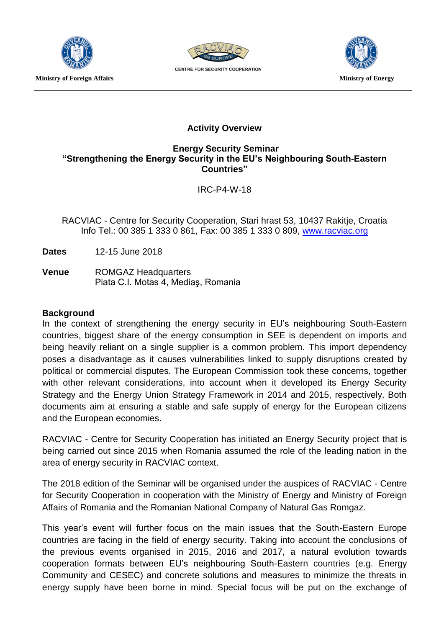

**Ministry of Foreign Affairs and Structure Controllering Controllering Ministry of Energy** 



**CENTRE FOR SECURITY COOPERATION** 



# **Activity Overview**

## **Energy Security Seminar "Strengthening the Energy Security in the EU's Neighbouring South-Eastern Countries"**

IRC-P4-W-18

RACVIAC - Centre for Security Cooperation, Stari hrast 53, 10437 Rakitje, Croatia Info Tel.: 00 385 1 333 0 861, Fax: 00 385 1 333 0 809, [www.racviac.org](http://www.racviac.org/)

**Dates** 12-15 June 2018

**Venue** ROMGAZ Headquarters Piata C.I. Motas 4, Mediaş, Romania

#### **Background**

In the context of strengthening the energy security in EU's neighbouring South-Eastern countries, biggest share of the energy consumption in SEE is dependent on imports and being heavily reliant on a single supplier is a common problem. This import dependency poses a disadvantage as it causes vulnerabilities linked to supply disruptions created by political or commercial disputes. The European Commission took these concerns, together with other relevant considerations, into account when it developed its Energy Security Strategy and the Energy Union Strategy Framework in 2014 and 2015, respectively. Both documents aim at ensuring a stable and safe supply of energy for the European citizens and the European economies.

RACVIAC - Centre for Security Cooperation has initiated an Energy Security project that is being carried out since 2015 when Romania assumed the role of the leading nation in the area of energy security in RACVIAC context.

The 2018 edition of the Seminar will be organised under the auspices of RACVIAC - Centre for Security Cooperation in cooperation with the Ministry of Energy and Ministry of Foreign Affairs of Romania and the Romanian National Company of Natural Gas Romgaz.

This year's event will further focus on the main issues that the South-Eastern Europe countries are facing in the field of energy security. Taking into account the conclusions of the previous events organised in 2015, 2016 and 2017, a natural evolution towards cooperation formats between EU's neighbouring South-Eastern countries (e.g. Energy Community and CESEC) and concrete solutions and measures to minimize the threats in energy supply have been borne in mind. Special focus will be put on the exchange of